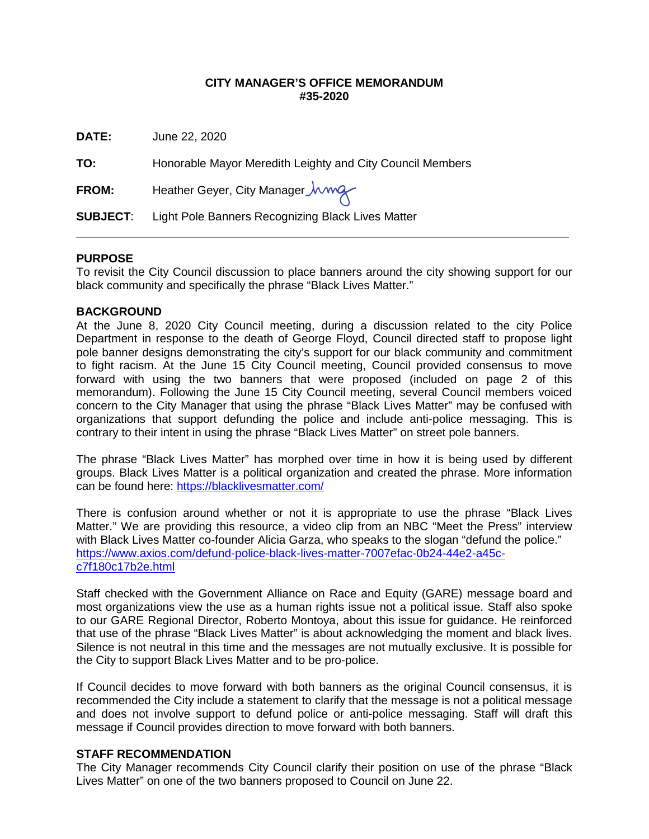## **CITY MANAGER'S OFFICE MEMORANDUM #35-2020**

**DATE:** June 22, 2020

**TO:** Honorable Mayor Meredith Leighty and City Council Members

FROM: Heather Geyer, City Manager *Jwwg* 

**SUBJECT**: Light Pole Banners Recognizing Black Lives Matter

## **PURPOSE**

To revisit the City Council discussion to place banners around the city showing support for our black community and specifically the phrase "Black Lives Matter."

## **BACKGROUND**

At the June 8, 2020 City Council meeting, during a discussion related to the city Police Department in response to the death of George Floyd, Council directed staff to propose light pole banner designs demonstrating the city's support for our black community and commitment to fight racism. At the June 15 City Council meeting, Council provided consensus to move forward with using the two banners that were proposed (included on page 2 of this memorandum). Following the June 15 City Council meeting, several Council members voiced concern to the City Manager that using the phrase "Black Lives Matter" may be confused with organizations that support defunding the police and include anti-police messaging. This is contrary to their intent in using the phrase "Black Lives Matter" on street pole banners.

The phrase "Black Lives Matter" has morphed over time in how it is being used by different groups. Black Lives Matter is a political organization and created the phrase. More information can be found here:<https://blacklivesmatter.com/>

There is confusion around whether or not it is appropriate to use the phrase "Black Lives Matter." We are providing this resource, a video clip from an NBC "Meet the Press" interview with Black Lives Matter co-founder Alicia Garza, who speaks to the slogan "defund the police." [https://www.axios.com/defund-police-black-lives-matter-7007efac-0b24-44e2-a45c](https://www.axios.com/defund-police-black-lives-matter-7007efac-0b24-44e2-a45c-c7f180c17b2e.html)[c7f180c17b2e.html](https://www.axios.com/defund-police-black-lives-matter-7007efac-0b24-44e2-a45c-c7f180c17b2e.html)

Staff checked with the Government Alliance on Race and Equity (GARE) message board and most organizations view the use as a human rights issue not a political issue. Staff also spoke to our GARE Regional Director, Roberto Montoya, about this issue for guidance. He reinforced that use of the phrase "Black Lives Matter" is about acknowledging the moment and black lives. Silence is not neutral in this time and the messages are not mutually exclusive. It is possible for the City to support Black Lives Matter and to be pro-police.

If Council decides to move forward with both banners as the original Council consensus, it is recommended the City include a statement to clarify that the message is not a political message and does not involve support to defund police or anti-police messaging. Staff will draft this message if Council provides direction to move forward with both banners.

#### **STAFF RECOMMENDATION**

The City Manager recommends City Council clarify their position on use of the phrase "Black Lives Matter" on one of the two banners proposed to Council on June 22.